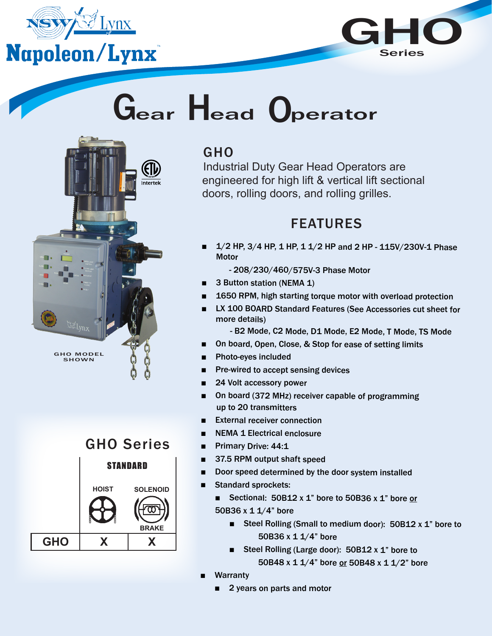



# Gear Head Operator



#### GHO

Industrial Duty Gear Head Operators are engineered for high lift & vertical lift sectional doors, rolling doors, and rolling grilles.

#### FEATURES

■ 1/2 HP, 3/4 HP, 1 HP, 1 1/2 HP and 2 HP - 115V/230V-1 Phase **Motor** 

- 208/230/460/575V-3 Phase Motor

- 3 Button station (NEMA 1)
- 1650 RPM, high starting torque motor with overload protection
- LX 100 BOARD Standard Features (See Accessories cut sheet for more details)
	- B2 Mode, C2 Mode, D1 Mode, E2 Mode, T Mode, TS Mode
- On board, Open, Close, & Stop for ease of setting limits
- Photo-eyes included
- Pre-wired to accept sensing devices
- 24 Volt accessory power
- On board (372 MHz) receiver capable of programming up to 20 transmitters
- **External receiver connection**
- **NEMA 1 Electrical enclosure**
- Primary Drive: 44:1
- 37.5 RPM output shaft speed
- Door speed determined by the door system installed
- Standard sprockets:
	- Sectional: 50B12 x 1" bore to 50B36 x 1" bore or 50B36 x 1 1/4" bore
		- Steel Rolling (Small to medium door): 50B12 x 1" bore to 50B36 x 1 1/4" bore
		- Steel Rolling (Large door): 50B12 x 1" bore to 50B48 x 1 1/4" bore or 50B48 x 1 1/2" bore
- **Warranty** 
	- 2 years on parts and motor

### GHO Series